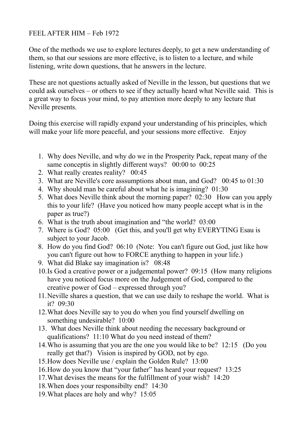## FEEL AFTER HIM – Feb 1972

One of the methods we use to explore lectures deeply, to get a new understanding of them, so that our sessions are more effective, is to listen to a lecture, and while listening, write down questions, that he answers in the lecture.

These are not questions actually asked of Neville in the lesson, but questions that we could ask ourselves – or others to see if they actually heard what Neville said. This is a great way to focus your mind, to pay attention more deeply to any lecture that Neville presents.

Doing this exercise will rapidly expand your understanding of his principles, which will make your life more peaceful, and your sessions more effective. Enjoy

- 1. Why does Neville, and why do we in the Prosperity Pack, repeat many of the same conceptis in slightly different ways? 00:00 to 00:25
- 2. What really creates reality? 00:45
- 3. What are Neville's core asssumptions about man, and God? 00:45 to 01:30
- 4. Why should man be careful about what he is imagining? 01:30
- 5. What does Neville think about the morning paper? 02:30 How can you apply this to your life? (Have you noticed how many people accept what is in the paper as true?)
- 6. What is the truth about imagination and "the world? 03:00
- 7. Where is God? 05:00 (Get this, and you'll get why EVERYTING Esau is subject to your Jacob.
- 8. How do you find God? 06:10 (Note: You can't figure out God, just like how you can't figure out how to FORCE anything to happen in your life.)
- 9. What did Blake say imagination is? 08:48
- 10.Is God a creative power or a judgemental power? 09:15 (How many religions have you noticed focus more on the Judgement of God, compared to the creative power of God – expressed through you?
- 11.Neville shares a question, that we can use daily to reshape the world. What is it? 09:30
- 12.What does Neville say to you do when you find yourself dwelling on something undesirable? 10:00
- 13. What does Neville think about needing the necessary background or qualifications? 11:10 What do you need instead of them?
- 14.Who is assuming that you are the one you would like to be? 12:15 (Do you really get that?) Vision is inspired by GOD, not by ego.
- 15.How does Neville use / explain the Golden Rule? 13:00
- 16.How do you know that "your father" has heard your request? 13:25
- 17.What devises the means for the fulfillment of your wish? 14:20
- 18.When does your responsibilty end? 14:30
- 19.What places are holy and why? 15:05